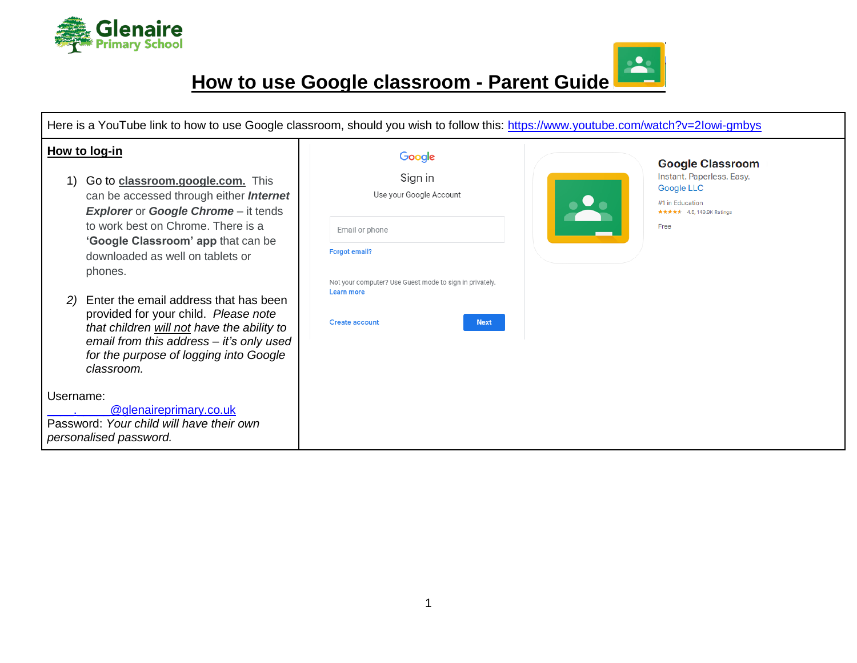

 $\frac{1}{\sqrt{2}}$ **How to use Google classroom - Parent Guide**

| Here is a YouTube link to how to use Google classroom, should you wish to follow this: https://www.youtube.com/watch?v=2lowi-gmbys                                                                                                                                                                                                                                                                                                                                                                                     |                                                                                                                                                                                                                |                                                                                                                                   |
|------------------------------------------------------------------------------------------------------------------------------------------------------------------------------------------------------------------------------------------------------------------------------------------------------------------------------------------------------------------------------------------------------------------------------------------------------------------------------------------------------------------------|----------------------------------------------------------------------------------------------------------------------------------------------------------------------------------------------------------------|-----------------------------------------------------------------------------------------------------------------------------------|
| How to log-in<br>Go to classroom.google.com. This<br>1)<br>can be accessed through either <b>Internet</b><br><b>Explorer or Google Chrome - it tends</b><br>to work best on Chrome. There is a<br>'Google Classroom' app that can be<br>downloaded as well on tablets or<br>phones.<br>Enter the email address that has been<br>provided for your child. Please note<br>that children will not have the ability to<br>email from this address - it's only used<br>for the purpose of logging into Google<br>classroom. | Google<br>Sign in<br>Use your Google Account<br>Email or phone<br><b>Forgot email?</b><br>Not your computer? Use Guest mode to sign in privately.<br><b>Learn more</b><br><b>Create account</b><br><b>Next</b> | <b>Google Classroom</b><br>Instant. Paperless. Easy.<br><b>Google LLC</b><br>#1 in Education<br>★★★★★ 4.5, 149.9K Ratings<br>Free |
| Username:<br>@glenaireprimary.co.uk<br>Password: Your child will have their own<br>personalised password.                                                                                                                                                                                                                                                                                                                                                                                                              |                                                                                                                                                                                                                |                                                                                                                                   |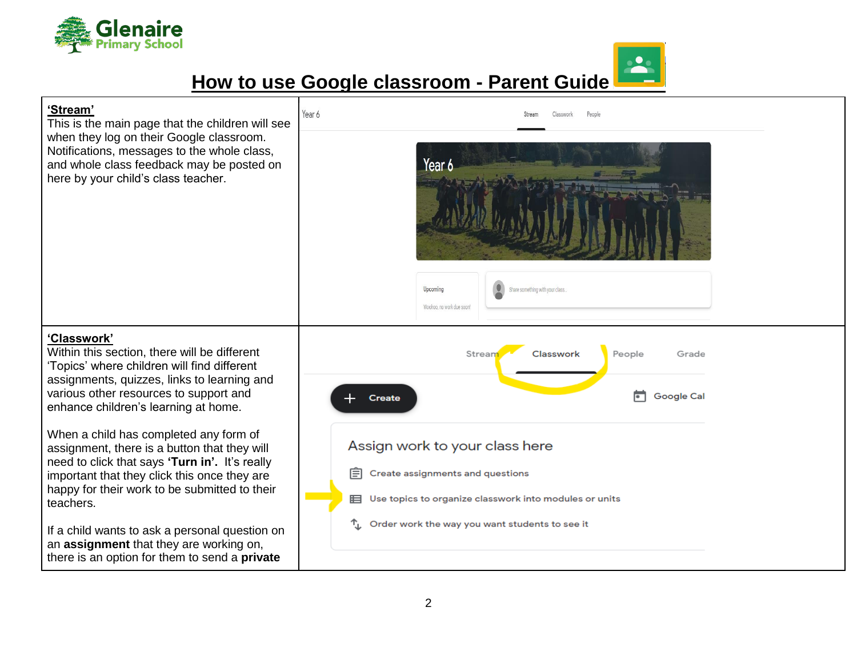

## **How to use Google classroom - Parent Guide**